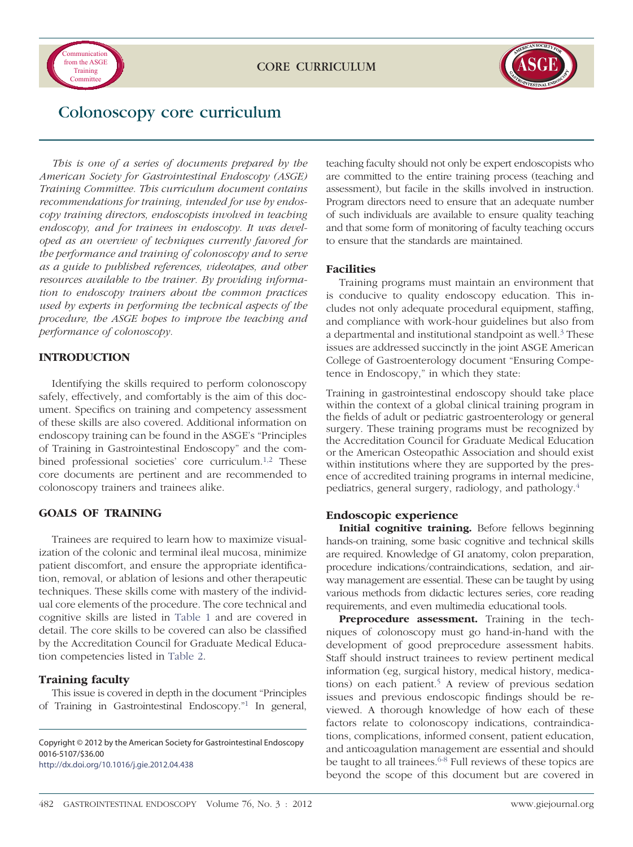



# Colonoscopy core curriculum

*This is one of a series of documents prepared by the American Society for Gastrointestinal Endoscopy (ASGE) Training Committee. This curriculum document contains recommendations for training, intended for use by endoscopy training directors, endoscopists involved in teaching endoscopy, and for trainees in endoscopy. It was developed as an overview of techniques currently favored for the performance and training of colonoscopy and to serve as a guide to published references, videotapes, and other resources available to the trainer. By providing information to endoscopy trainers about the common practices used by experts in performing the technical aspects of the procedure, the ASGE hopes to improve the teaching and performance of colonoscopy.*

# **INTRODUCTION**

Identifying the skills required to perform colonoscopy safely, effectively, and comfortably is the aim of this document. Specifics on training and competency assessment of these skills are also covered. Additional information on endoscopy training can be found in the ASGE's "Principles of Training in Gastrointestinal Endoscopy" and the combined professional societies' core curriculum.<sup>1,2</sup> These core documents are pertinent and are recommended to colonoscopy trainers and trainees alike.

# **GOALS OF TRAINING**

Trainees are required to learn how to maximize visualization of the colonic and terminal ileal mucosa, minimize patient discomfort, and ensure the appropriate identification, removal, or ablation of lesions and other therapeutic techniques. These skills come with mastery of the individual core elements of the procedure. The core technical and cognitive skills are listed in [Table 1](#page-1-0) and are covered in detail. The core skills to be covered can also be classified by the Accreditation Council for Graduate Medical Education competencies listed in [Table 2.](#page-2-0)

# **Training faculty**

This issue is covered in depth in the document "Principles of Training in Gastrointestinal Endoscopy.["1](#page-7-0) In general,

Copyright © 2012 by the American Society for Gastrointestinal Endoscopy 0016-5107/\$36.00 <http://dx.doi.org/10.1016/j.gie.2012.04.438>

teaching faculty should not only be expert endoscopists who are committed to the entire training process (teaching and assessment), but facile in the skills involved in instruction. Program directors need to ensure that an adequate number of such individuals are available to ensure quality teaching and that some form of monitoring of faculty teaching occurs to ensure that the standards are maintained.

# **Facilities**

Training programs must maintain an environment that is conducive to quality endoscopy education. This includes not only adequate procedural equipment, staffing, and compliance with work-hour guidelines but also from a departmental and institutional standpoint as well.<sup>3</sup> These issues are addressed succinctly in the joint ASGE American College of Gastroenterology document "Ensuring Competence in Endoscopy," in which they state:

Training in gastrointestinal endoscopy should take place within the context of a global clinical training program in the fields of adult or pediatric gastroenterology or general surgery. These training programs must be recognized by the Accreditation Council for Graduate Medical Education or the American Osteopathic Association and should exist within institutions where they are supported by the presence of accredited training programs in internal medicine, pediatrics, general surgery, radiology, and pathology[.4](#page-7-2)

# **Endoscopic experience**

**Initial cognitive training.** Before fellows beginning hands-on training, some basic cognitive and technical skills are required. Knowledge of GI anatomy, colon preparation, procedure indications/contraindications, sedation, and airway management are essential. These can be taught by using various methods from didactic lectures series, core reading requirements, and even multimedia educational tools.

**Preprocedure assessment.** Training in the techniques of *c*olonoscopy must go hand-in-hand with the development of good preprocedure assessment habits. Staff should instruct trainees to review pertinent medical information (eg, surgical history, medical history, medications) on each patient.<sup>5</sup> A review of previous sedation issues and previous endoscopic findings should be reviewed. A thorough knowledge of how each of these factors relate to colonoscopy indications, contraindications, complications, informed consent, patient education, and anticoagulation management are essential and should be taught to all trainees.  $6-8$  Full reviews of these topics are beyond the scope of this document but are covered in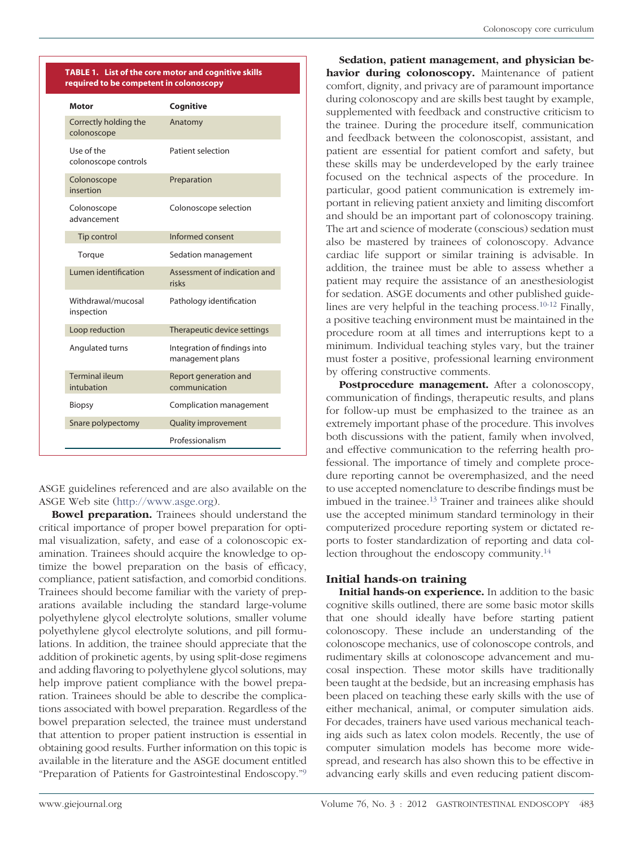<span id="page-1-0"></span>

| Motor                                | Cognitive                                        |
|--------------------------------------|--------------------------------------------------|
| Correctly holding the<br>colonoscope | Anatomy                                          |
| Use of the<br>colonoscope controls   | Patient selection                                |
| Colonoscope<br>insertion             | Preparation                                      |
| Colonoscope<br>advancement           | Colonoscope selection                            |
| Tip control                          | Informed consent                                 |
| Torque                               | Sedation management                              |
| Lumen identification                 | Assessment of indication and<br>risks            |
| Withdrawal/mucosal<br>inspection     | Pathology identification                         |
| Loop reduction                       | Therapeutic device settings                      |
| Angulated turns                      | Integration of findings into<br>management plans |
| <b>Terminal ileum</b><br>intubation  | Report generation and<br>communication           |
| Biopsy                               | Complication management                          |
| Snare polypectomy                    | <b>Quality improvement</b>                       |
|                                      | Professionalism                                  |

ASGE guidelines referenced and are also available on the ASGE Web site [\(http://www.asge.org\)](http://www.asge.org).

**Bowel preparation.** Trainees should understand the critical importance of proper bowel preparation for optimal visualization, safety, and ease of a colonoscopic examination. Trainees should acquire the knowledge to optimize the bowel preparation on the basis of efficacy, compliance, patient satisfaction, and comorbid conditions. Trainees should become familiar with the variety of preparations available including the standard large-volume polyethylene glycol electrolyte solutions, smaller volume polyethylene glycol electrolyte solutions, and pill formulations. In addition, the trainee should appreciate that the addition of prokinetic agents, by using split-dose regimens and adding flavoring to polyethylene glycol solutions, may help improve patient compliance with the bowel preparation. Trainees should be able to describe the complications associated with bowel preparation. Regardless of the bowel preparation selected, the trainee must understand that attention to proper patient instruction is essential in obtaining good results. Further information on this topic is available in the literature and the ASGE document entitled "Preparation of Patients for Gastrointestinal Endoscopy.["9](#page-7-5)

**Sedation, patient management, and physician behavior during colonoscopy.** Maintenance of patient comfort, dignity, and privacy are of paramount importance during colonoscopy and are skills best taught by example, supplemented with feedback and constructive criticism to the trainee. During the procedure itself, communication and feedback between the colonoscopist, assistant, and patient are essential for patient comfort and safety, but these skills may be underdeveloped by the early trainee focused on the technical aspects of the procedure. In particular, good patient communication is extremely important in relieving patient anxiety and limiting discomfort and should be an important part of colonoscopy training. The art and science of moderate (conscious) sedation must also be mastered by trainees of colonoscopy. Advance cardiac life support or similar training is advisable. In addition, the trainee must be able to assess whether a patient may require the assistance of an anesthesiologist for sedation. ASGE documents and other published guidelines are very helpful in the teaching process[.10-12](#page-7-6) Finally, a positive teaching environment must be maintained in the procedure room at all times and interruptions kept to a minimum. Individual teaching styles vary, but the trainer must foster a positive, professional learning environment by offering constructive comments.

**Postprocedure management.** After a colonoscopy, communication of findings, therapeutic results, and plans for follow-up must be emphasized to the trainee as an extremely important phase of the procedure. This involves both discussions with the patient, family when involved, and effective communication to the referring health professional. The importance of timely and complete procedure reporting cannot be overemphasized, and the need to use accepted nomenclature to describe findings must be imbued in the trainee[.13](#page-7-7) Trainer and trainees alike should use the accepted minimum standard terminology in their computerized procedure reporting system or dictated reports to foster standardization of reporting and data collection throughout the endoscopy community[.14](#page-7-8)

# **Initial hands-on training**

**Initial hands-on experience.** In addition to the basic cognitive skills outlined, there are some basic motor skills that one should ideally have before starting patient colonoscopy. These include an understanding of the colonoscope mechanics, use of colonoscope controls, and rudimentary skills at colonoscope advancement and mucosal inspection. These motor skills have traditionally been taught at the bedside, but an increasing emphasis has been placed on teaching these early skills with the use of either mechanical, animal, or computer simulation aids. For decades, trainers have used various mechanical teaching aids such as latex colon models. Recently, the use of computer simulation models has become more widespread, and research has also shown this to be effective in advancing early skills and even reducing patient discom-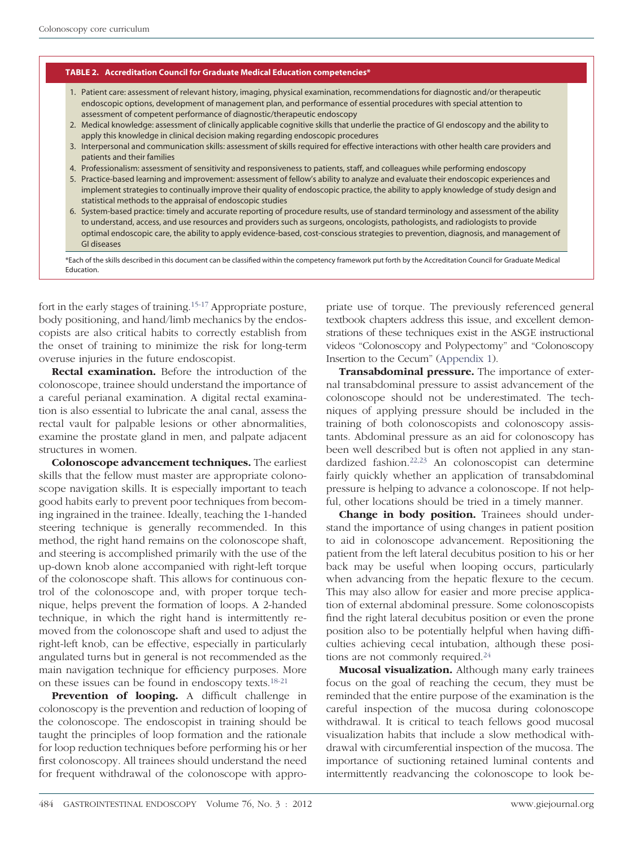#### <span id="page-2-0"></span>**TABLE 2. Accreditation Council for Graduate Medical Education competencies\***

- 1. Patient care: assessment of relevant history, imaging, physical examination, recommendations for diagnostic and/or therapeutic endoscopic options, development of management plan, and performance of essential procedures with special attention to assessment of competent performance of diagnostic/therapeutic endoscopy
- 2. Medical knowledge: assessment of clinically applicable cognitive skills that underlie the practice of GI endoscopy and the ability to apply this knowledge in clinical decision making regarding endoscopic procedures
- 3. Interpersonal and communication skills: assessment of skills required for effective interactions with other health care providers and patients and their families
- 4. Professionalism: assessment of sensitivity and responsiveness to patients, staff, and colleagues while performing endoscopy
- 5. Practice-based learning and improvement: assessment of fellow's ability to analyze and evaluate their endoscopic experiences and implement strategies to continually improve their quality of endoscopic practice, the ability to apply knowledge of study design and statistical methods to the appraisal of endoscopic studies
- 6. System-based practice: timely and accurate reporting of procedure results, use of standard terminology and assessment of the ability to understand, access, and use resources and providers such as surgeons, oncologists, pathologists, and radiologists to provide optimal endoscopic care, the ability to apply evidence-based, cost-conscious strategies to prevention, diagnosis, and management of GI diseases

\*Each of the skills described in this document can be classified within the competency framework put forth by the Accreditation Council for Graduate Medical Education.

fort in the early stages of training[.15-17](#page-7-9) Appropriate posture, body positioning, and hand/limb mechanics by the endoscopists are also critical habits to correctly establish from the onset of training to minimize the risk for long-term overuse injuries in the future endoscopist.

**Rectal examination.** Before the introduction of the colonoscope, trainee should understand the importance of a careful perianal examination. A digital rectal examination is also essential to lubricate the anal canal, assess the rectal vault for palpable lesions or other abnormalities, examine the prostate gland in men, and palpate adjacent structures in women.

**Colonoscope advancement techniques.** The earliest skills that the fellow must master are appropriate colonoscope navigation skills. It is especially important to teach good habits early to prevent poor techniques from becoming ingrained in the trainee. Ideally, teaching the 1-handed steering technique is generally recommended. In this method, the right hand remains on the colonoscope shaft, and steering is accomplished primarily with the use of the up-down knob alone accompanied with right-left torque of the colonoscope shaft. This allows for continuous control of the colonoscope and, with proper torque technique, helps prevent the formation of loops. A 2-handed technique, in which the right hand is intermittently removed from the colonoscope shaft and used to adjust the right-left knob, can be effective, especially in particularly angulated turns but in general is not recommended as the main navigation technique for efficiency purposes. More on these issues can be found in endoscopy texts[.18-21](#page-7-10)

**Prevention of looping.** A difficult challenge in colonoscopy is the prevention and reduction of looping of the colonoscope. The endoscopist in training should be taught the principles of loop formation and the rationale for loop reduction techniques before performing his or her first colonoscopy. All trainees should understand the need for frequent withdrawal of the colonoscope with appropriate use of torque. The previously referenced general textbook chapters address this issue, and excellent demonstrations of these techniques exist in the ASGE instructional videos "Colonoscopy and Polypectomy" and "Colonoscopy Insertion to the Cecum" [\(Appendix 1\)](#page-8-0).

**Transabdominal pressure.** The importance of external transabdominal pressure to assist advancement of the colonoscope should not be underestimated. The techniques of applying pressure should be included in the training of both colonoscopists and colonoscopy assistants. Abdominal pressure as an aid for colonoscopy has been well described but is often not applied in any standardized fashion[.22,23](#page-7-11) An colonoscopist can determine fairly quickly whether an application of transabdominal pressure is helping to advance a colonoscope. If not helpful, other locations should be tried in a timely manner.

**Change in body position.** Trainees should understand the importance of using changes in patient position to aid in colonoscope advancement. Repositioning the patient from the left lateral decubitus position to his or her back may be useful when looping occurs, particularly when advancing from the hepatic flexure to the cecum. This may also allow for easier and more precise application of external abdominal pressure. Some colonoscopists find the right lateral decubitus position or even the prone position also to be potentially helpful when having difficulties achieving cecal intubation, although these positions are not commonly required.<sup>24</sup>

**Mucosal visualization.** Although many early trainees focus on the goal of reaching the cecum, they must be reminded that the entire purpose of the examination is the careful inspection of the mucosa during colonoscope withdrawal. It is critical to teach fellows good mucosal visualization habits that include a slow methodical withdrawal with circumferential inspection of the mucosa. The importance of suctioning retained luminal contents and intermittently readvancing the colonoscope to look be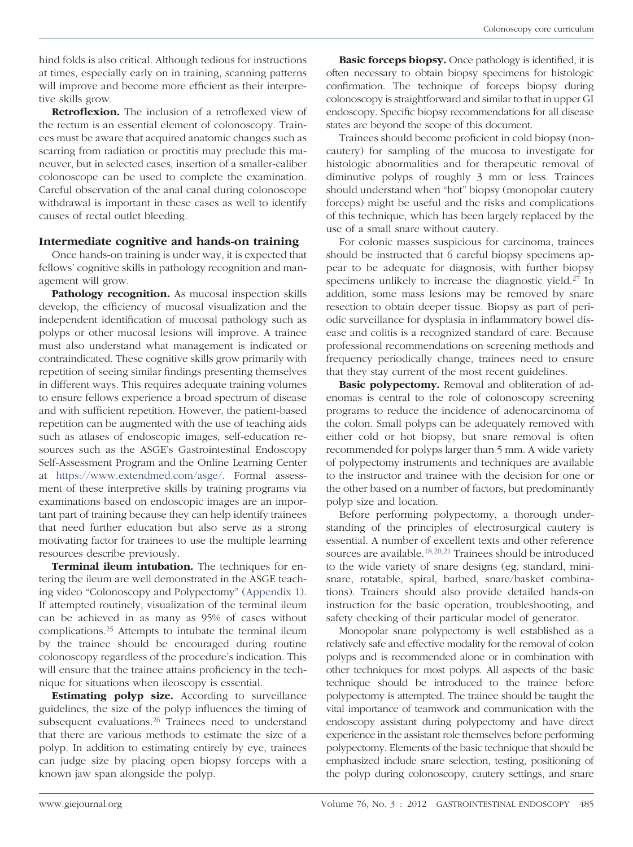hind folds is also critical. Although tedious for instructions at times, especially early on in training, scanning patterns will improve and become more efficient as their interpretive skills grow.

**Retroflexion.** The inclusion of a retroflexed view of the rectum is an essential element of colonoscopy. Trainees must be aware that acquired anatomic changes such as scarring from radiation or proctitis may preclude this maneuver, but in selected cases, insertion of a smaller-caliber colonoscope can be used to complete the examination. Careful observation of the anal canal during colonoscope withdrawal is important in these cases as well to identify causes of rectal outlet bleeding.

# **Intermediate cognitive and hands-on training**

Once hands-on training is under way, it is expected that fellows' cognitive skills in pathology recognition and management will grow.

**Pathology recognition.** As mucosal inspection skills develop, the efficiency of mucosal visualization and the independent identification of mucosal pathology such as polyps or other mucosal lesions will improve. A trainee must also understand what management is indicated or contraindicated. These cognitive skills grow primarily with repetition of seeing similar findings presenting themselves in different ways. This requires adequate training volumes to ensure fellows experience a broad spectrum of disease and with sufficient repetition. However, the patient-based repetition can be augmented with the use of teaching aids such as atlases of endoscopic images, self-education resources such as the ASGE's Gastrointestinal Endoscopy Self-Assessment Program and the Online Learning Center at [https://www.extendmed.com/asge/.](https://www.extendmed.com/asge/) Formal assessment of these interpretive skills by training programs via examinations based on endoscopic images are an important part of training because they can help identify trainees that need further education but also serve as a strong motivating factor for trainees to use the multiple learning resources describe previously.

**Terminal ileum intubation.** The techniques for entering the ileum are well demonstrated in the ASGE teaching video "Colonoscopy and Polypectomy" [\(Appendix 1\)](#page-8-0). If attempted routinely, visualization of the terminal ileum can be achieved in as many as 95% of cases without complications[.25](#page-7-13) Attempts to intubate the terminal ileum by the trainee should be encouraged during routine colonoscopy regardless of the procedure's indication. This will ensure that the trainee attains proficiency in the technique for situations when ileoscopy is essential.

**Estimating polyp size.** According to surveillance guidelines, the size of the polyp influences the timing of subsequent evaluations.<sup>26</sup> Trainees need to understand that there are various methods to estimate the size of a polyp. In addition to estimating entirely by eye, trainees can judge size by placing open biopsy forceps with a known jaw span alongside the polyp.

**Basic forceps biopsy.** Once pathology is identified, it is often necessary to obtain biopsy specimens for histologic confirmation. The technique of forceps biopsy during colonoscopy is straightforward and similar to that in upper GI endoscopy. Specific biopsy recommendations for all disease states are beyond the scope of this document.

Trainees should become proficient in cold biopsy (noncautery) for sampling of the mucosa to investigate for histologic abnormalities and for therapeutic removal of diminutive polyps of roughly 3 mm or less. Trainees should understand when "hot" biopsy (monopolar cautery forceps) might be useful and the risks and complications of this technique, which has been largely replaced by the use of a small snare without cautery.

For colonic masses suspicious for carcinoma, trainees should be instructed that 6 careful biopsy specimens appear to be adequate for diagnosis, with further biopsy specimens unlikely to increase the diagnostic yield.<sup>27</sup> In addition, some mass lesions may be removed by snare resection to obtain deeper tissue. Biopsy as part of periodic surveillance for dysplasia in inflammatory bowel disease and colitis is a recognized standard of care. Because professional recommendations on screening methods and frequency periodically change, trainees need to ensure that they stay current of the most recent guidelines.

**Basic polypectomy.** Removal and obliteration of adenomas is central to the role of colonoscopy screening programs to reduce the incidence of adenocarcinoma of the colon. Small polyps can be adequately removed with either cold or hot biopsy, but snare removal is often recommended for polyps larger than 5 mm. A wide variety of polypectomy instruments and techniques are available to the instructor and trainee with the decision for one or the other based on a number of factors, but predominantly polyp size and location.

Before performing polypectomy, a thorough understanding of the principles of electrosurgical cautery is essential. A number of excellent texts and other reference sources are available[.18,20,21](#page-7-10) Trainees should be introduced to the wide variety of snare designs (eg, standard, minisnare, rotatable, spiral, barbed, snare/basket combinations). Trainers should also provide detailed hands-on instruction for the basic operation, troubleshooting, and safety checking of their particular model of generator.

Monopolar snare polypectomy is well established as a relatively safe and effective modality for the removal of colon polyps and is recommended alone or in combination with other techniques for most polyps. All aspects of the basic technique should be introduced to the trainee before polypectomy is attempted. The trainee should be taught the vital importance of teamwork and communication with the endoscopy assistant during polypectomy and have direct experience in the assistant role themselves before performing polypectomy. Elements of the basic technique that should be emphasized include snare selection, testing, positioning of the polyp during colonoscopy, cautery settings, and snare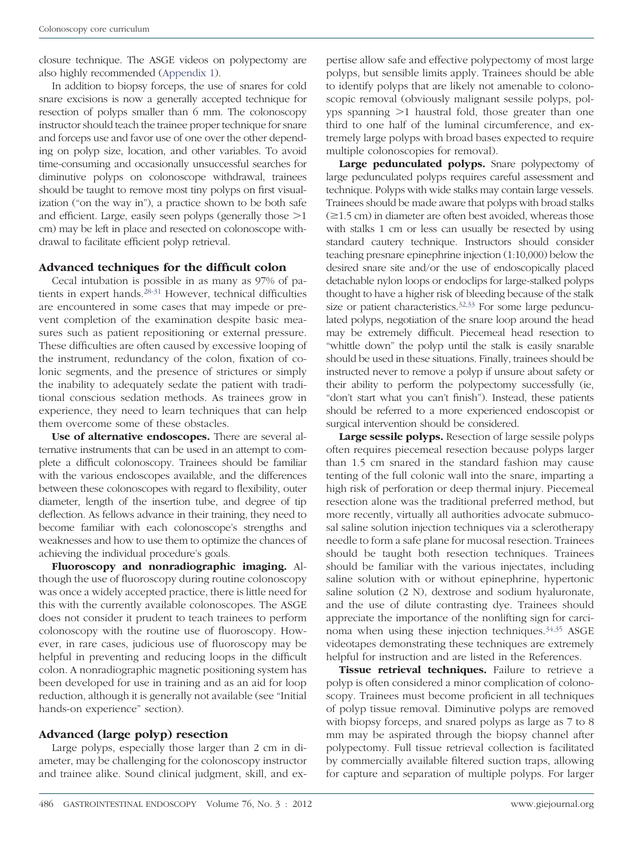closure technique. The ASGE videos on polypectomy are also highly recommended [\(Appendix 1\)](#page-8-0).

In addition to biopsy forceps, the use of snares for cold snare excisions is now a generally accepted technique for resection of polyps smaller than 6 mm. The colonoscopy instructor should teach the trainee proper technique for snare and forceps use and favor use of one over the other depending on polyp size, location, and other variables. To avoid time-consuming and occasionally unsuccessful searches for diminutive polyps on colonoscope withdrawal, trainees should be taught to remove most tiny polyps on first visualization ("on the way in"), a practice shown to be both safe and efficient. Large, easily seen polyps (generally those  $>1$ cm) may be left in place and resected on colonoscope withdrawal to facilitate efficient polyp retrieval.

# **Advanced techniques for the difficult colon**

Cecal intubation is possible in as many as 97% of patients in expert hands.<sup>28-31</sup> However, technical difficulties are encountered in some cases that may impede or prevent completion of the examination despite basic measures such as patient repositioning or external pressure. These difficulties are often caused by excessive looping of the instrument, redundancy of the colon, fixation of colonic segments, and the presence of strictures or simply the inability to adequately sedate the patient with traditional conscious sedation methods. As trainees grow in experience, they need to learn techniques that can help them overcome some of these obstacles.

**Use of alternative endoscopes.** There are several alternative instruments that can be used in an attempt to complete a difficult colonoscopy. Trainees should be familiar with the various endoscopes available, and the differences between these colonoscopes with regard to flexibility, outer diameter, length of the insertion tube, and degree of tip deflection. As fellows advance in their training, they need to become familiar with each colonoscope's strengths and weaknesses and how to use them to optimize the chances of achieving the individual procedure's goals.

**Fluoroscopy and nonradiographic imaging.** Although the use of fluoroscopy during routine colonoscopy was once a widely accepted practice, there is little need for this with the currently available colonoscopes. The ASGE does not consider it prudent to teach trainees to perform colonoscopy with the routine use of fluoroscopy. However, in rare cases, judicious use of fluoroscopy may be helpful in preventing and reducing loops in the difficult colon. A nonradiographic magnetic positioning system has been developed for use in training and as an aid for loop reduction, although it is generally not available (see "Initial hands-on experience" section).

# **Advanced (large polyp) resection**

Large polyps, especially those larger than 2 cm in diameter, may be challenging for the colonoscopy instructor and trainee alike. Sound clinical judgment, skill, and ex-

pertise allow safe and effective polypectomy of most large polyps, but sensible limits apply. Trainees should be able to identify polyps that are likely not amenable to colonoscopic removal (obviously malignant sessile polyps, polyps spanning  $>1$  haustral fold, those greater than one third to one half of the luminal circumference, and extremely large polyps with broad bases expected to require multiple colonoscopies for removal).

Large pedunculated polyps. Snare polypectomy of large pedunculated polyps requires careful assessment and technique. Polyps with wide stalks may contain large vessels. Trainees should be made aware that polyps with broad stalks  $(\geq 1.5 \text{ cm})$  in diameter are often best avoided, whereas those with stalks 1 cm or less can usually be resected by using standard cautery technique. Instructors should consider teaching presnare epinephrine injection (1:10,000) below the desired snare site and/or the use of endoscopically placed detachable nylon loops or endoclips for large-stalked polyps thought to have a higher risk of bleeding because of the stalk size or patient characteristics.<sup>32,33</sup> For some large pedunculated polyps, negotiation of the snare loop around the head may be extremely difficult. Piecemeal head resection to "whittle down" the polyp until the stalk is easily snarable should be used in these situations. Finally, trainees should be instructed never to remove a polyp if unsure about safety or their ability to perform the polypectomy successfully (ie, "don't start what you can't finish"). Instead, these patients should be referred to a more experienced endoscopist or surgical intervention should be considered.

**Large sessile polyps.** Resection of large sessile polyps often requires piecemeal resection because polyps larger than 1.5 cm snared in the standard fashion may cause tenting of the full colonic wall into the snare, imparting a high risk of perforation or deep thermal injury. Piecemeal resection alone was the traditional preferred method, but more recently, virtually all authorities advocate submucosal saline solution injection techniques via a sclerotherapy needle to form a safe plane for mucosal resection. Trainees should be taught both resection techniques. Trainees should be familiar with the various injectates, including saline solution with or without epinephrine, hypertonic saline solution (2 N), dextrose and sodium hyaluronate, and the use of dilute contrasting dye. Trainees should appreciate the importance of the nonlifting sign for carcinoma when using these injection techniques[.34,35](#page-7-18) ASGE videotapes demonstrating these techniques are extremely helpful for instruction and are listed in the References.

**Tissue retrieval techniques.** Failure to retrieve a polyp is often considered a minor complication of colonoscopy. Trainees must become proficient in all techniques of polyp tissue removal. Diminutive polyps are removed with biopsy forceps, and snared polyps as large as 7 to 8 mm may be aspirated through the biopsy channel after polypectomy. Full tissue retrieval collection is facilitated by commercially available filtered suction traps, allowing for capture and separation of multiple polyps. For larger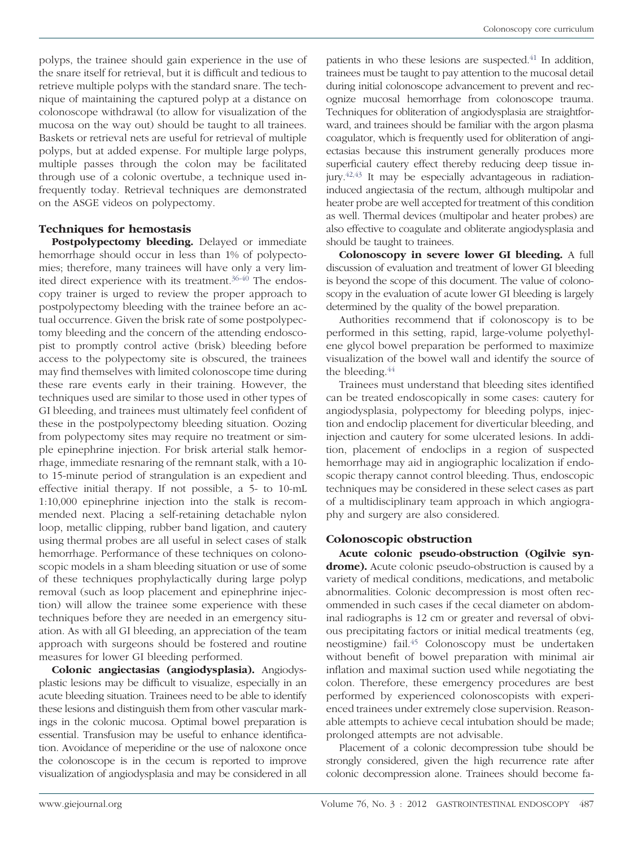polyps, the trainee should gain experience in the use of the snare itself for retrieval, but it is difficult and tedious to retrieve multiple polyps with the standard snare. The technique of maintaining the captured polyp at a distance on colonoscope withdrawal (to allow for visualization of the mucosa on the way out) should be taught to all trainees. Baskets or retrieval nets are useful for retrieval of multiple polyps, but at added expense. For multiple large polyps, multiple passes through the colon may be facilitated through use of a colonic overtube, a technique used infrequently today. Retrieval techniques are demonstrated on the ASGE videos on polypectomy.

# **Techniques for hemostasis**

**Postpolypectomy bleeding.** Delayed or immediate hemorrhage should occur in less than 1% of polypectomies; therefore, many trainees will have only a very limited direct experience with its treatment[.36-40](#page-8-1) The endoscopy trainer is urged to review the proper approach to postpolypectomy bleeding with the trainee before an actual occurrence. Given the brisk rate of some postpolypectomy bleeding and the concern of the attending endoscopist to promptly control active (brisk) bleeding before access to the polypectomy site is obscured, the trainees may find themselves with limited colonoscope time during these rare events early in their training. However, the techniques used are similar to those used in other types of GI bleeding, and trainees must ultimately feel confident of these in the postpolypectomy bleeding situation. Oozing from polypectomy sites may require no treatment or simple epinephrine injection. For brisk arterial stalk hemorrhage, immediate resnaring of the remnant stalk, with a 10 to 15-minute period of strangulation is an expedient and effective initial therapy. If not possible, a 5- to 10-mL 1:10,000 epinephrine injection into the stalk is recommended next. Placing a self-retaining detachable nylon loop, metallic clipping, rubber band ligation, and cautery using thermal probes are all useful in select cases of stalk hemorrhage. Performance of these techniques on colonoscopic models in a sham bleeding situation or use of some of these techniques prophylactically during large polyp removal (such as loop placement and epinephrine injection) will allow the trainee some experience with these techniques before they are needed in an emergency situation. As with all GI bleeding, an appreciation of the team approach with surgeons should be fostered and routine measures for lower GI bleeding performed.

**Colonic angiectasias (angiodysplasia).** Angiodysplastic lesions may be difficult to visualize, especially in an acute bleeding situation. Trainees need to be able to identify these lesions and distinguish them from other vascular markings in the colonic mucosa. Optimal bowel preparation is essential. Transfusion may be useful to enhance identification. Avoidance of meperidine or the use of naloxone once the colonoscope is in the cecum is reported to improve visualization of angiodysplasia and may be considered in all

patients in who these lesions are suspected.<sup>41</sup> In addition, trainees must be taught to pay attention to the mucosal detail during initial colonoscope advancement to prevent and recognize mucosal hemorrhage from colonoscope trauma. Techniques for obliteration of angiodysplasia are straightforward, and trainees should be familiar with the argon plasma coagulator, which is frequently used for obliteration of angiectasias because this instrument generally produces more superficial cautery effect thereby reducing deep tissue injury[.42,43](#page-8-3) It may be especially advantageous in radiationinduced angiectasia of the rectum, although multipolar and heater probe are well accepted for treatment of this condition as well. Thermal devices (multipolar and heater probes) are also effective to coagulate and obliterate angiodysplasia and should be taught to trainees.

**Colonoscopy in severe lower GI bleeding.** A full discussion of evaluation and treatment of lower GI bleeding is beyond the scope of this document. The value of colonoscopy in the evaluation of acute lower GI bleeding is largely determined by the quality of the bowel preparation.

Authorities recommend that if colonoscopy is to be performed in this setting, rapid, large-volume polyethylene glycol bowel preparation be performed to maximize visualization of the bowel wall and identify the source of the bleeding.<sup>44</sup>

Trainees must understand that bleeding sites identified can be treated endoscopically in some cases: cautery for angiodysplasia, polypectomy for bleeding polyps, injection and endoclip placement for diverticular bleeding, and injection and cautery for some ulcerated lesions. In addition, placement of endoclips in a region of suspected hemorrhage may aid in angiographic localization if endoscopic therapy cannot control bleeding. Thus, endoscopic techniques may be considered in these select cases as part of a multidisciplinary team approach in which angiography and surgery are also considered.

# **Colonoscopic obstruction**

**Acute colonic pseudo-obstruction (Ogilvie syn**drome). Acute colonic pseudo-obstruction is caused by a variety of medical conditions, medications, and metabolic abnormalities. Colonic decompression is most often recommended in such cases if the cecal diameter on abdominal radiographs is 12 cm or greater and reversal of obvious precipitating factors or initial medical treatments (eg, neostigmine) fail[.45](#page-8-5) Colonoscopy must be undertaken without benefit of bowel preparation with minimal air inflation and maximal suction used while negotiating the colon. Therefore, these emergency procedures are best performed by experienced colonoscopists with experienced trainees under extremely close supervision. Reasonable attempts to achieve cecal intubation should be made; prolonged attempts are not advisable.

Placement of a colonic decompression tube should be strongly considered, given the high recurrence rate after colonic decompression alone. Trainees should become fa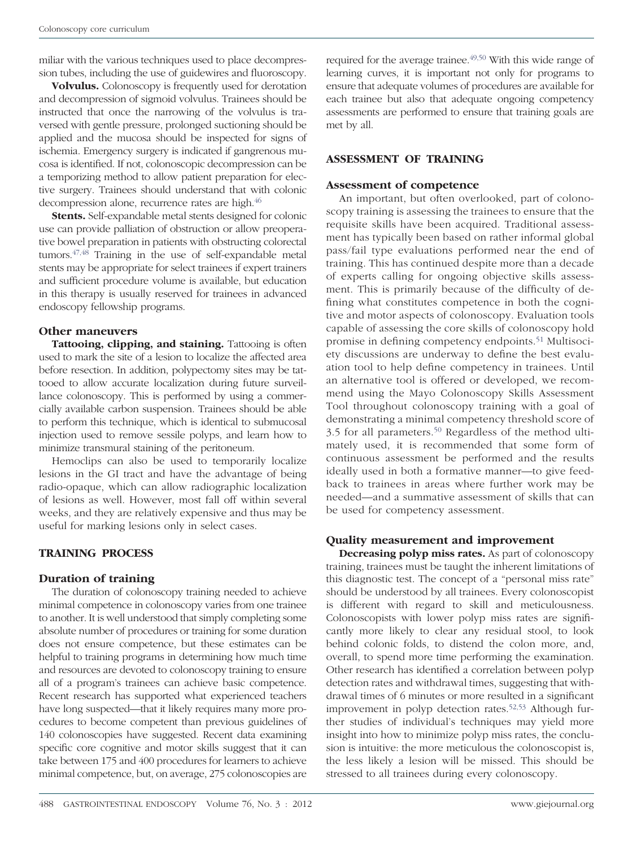miliar with the various techniques used to place decompression tubes, including the use of guidewires and fluoroscopy.

**Volvulus.** Colonoscopy is frequently used for derotation and decompression of sigmoid volvulus. Trainees should be instructed that once the narrowing of the volvulus is traversed with gentle pressure, prolonged suctioning should be applied and the mucosa should be inspected for signs of ischemia. Emergency surgery is indicated if gangrenous mucosa is identified. If not, colonoscopic decompression can be a temporizing method to allow patient preparation for elective surgery. Trainees should understand that with colonic decompression alone, recurrence rates are high[.46](#page-8-6)

**Stents.** Self-expandable metal stents designed for colonic use can provide palliation of obstruction or allow preoperative bowel preparation in patients with obstructing colorectal tumors[.47,48](#page-8-7) Training in the use of self-expandable metal stents may be appropriate for select trainees if expert trainers and sufficient procedure volume is available, but education in this therapy is usually reserved for trainees in advanced endoscopy fellowship programs.

# **Other maneuvers**

**Tattooing, clipping, and staining.** Tattooing is often used to mark the site of a lesion to localize the affected area before resection. In addition, polypectomy sites may be tattooed to allow accurate localization during future surveillance colonoscopy. This is performed by using a commercially available carbon suspension. Trainees should be able to perform this technique, which is identical to submucosal injection used to remove sessile polyps, and learn how to minimize transmural staining of the peritoneum.

Hemoclips can also be used to temporarily localize lesions in the GI tract and have the advantage of being radio-opaque, which can allow radiographic localization of lesions as well. However, most fall off within several weeks, and they are relatively expensive and thus may be useful for marking lesions only in select cases.

# **TRAINING PROCESS**

# **Duration of training**

The duration of colonoscopy training needed to achieve minimal competence in colonoscopy varies from one trainee to another. It is well understood that simply completing some absolute number of procedures or training for some duration does not ensure competence, but these estimates can be helpful to training programs in determining how much time and resources are devoted to colonoscopy training to ensure all of a program's trainees can achieve basic competence. Recent research has supported what experienced teachers have long suspected—that it likely requires many more procedures to become competent than previous guidelines of 140 colonoscopies have suggested. Recent data examining specific core cognitive and motor skills suggest that it can take between 175 and 400 procedures for learners to achieve minimal competence, but, on average, 275 colonoscopies are

required for the average trainee.<sup>49,50</sup> With this wide range of learning curves, it is important not only for programs to ensure that adequate volumes of procedures are available for each trainee but also that adequate ongoing competency assessments are performed to ensure that training goals are met by all.

# **ASSESSMENT OF TRAINING**

### **Assessment of competence**

An important, but often overlooked, part of colonoscopy training is assessing the trainees to ensure that the requisite skills have been acquired. Traditional assessment has typically been based on rather informal global pass/fail type evaluations performed near the end of training. This has continued despite more than a decade of experts calling for ongoing objective skills assessment. This is primarily because of the difficulty of defining what constitutes competence in both the cognitive and motor aspects of colonoscopy. Evaluation tools capable of assessing the core skills of colonoscopy hold promise in defining competency endpoints[.51](#page-8-9) Multisociety discussions are underway to define the best evaluation tool to help define competency in trainees. Until an alternative tool is offered or developed, we recommend using the Mayo Colonoscopy Skills Assessment Tool throughout colonoscopy training with a goal of demonstrating a minimal competency threshold score of 3.5 for all parameters[.50](#page-8-10) Regardless of the method ultimately used, it is recommended that some form of continuous assessment be performed and the results ideally used in both a formative manner—to give feedback to trainees in areas where further work may be needed—and a summative assessment of skills that can be used for competency assessment.

# **Quality measurement and improvement**

**Decreasing polyp miss rates.** As part of colonoscopy training, trainees must be taught the inherent limitations of this diagnostic test. The concept of a "personal miss rate" should be understood by all trainees. Every colonoscopist is different with regard to skill and meticulousness. Colonoscopists with lower polyp miss rates are significantly more likely to clear any residual stool, to look behind colonic folds, to distend the colon more, and, overall, to spend more time performing the examination. Other research has identified a correlation between polyp detection rates and withdrawal times, suggesting that withdrawal times of 6 minutes or more resulted in a significant improvement in polyp detection rates.<sup>52,53</sup> Although further studies of individual's techniques may yield more insight into how to minimize polyp miss rates, the conclusion is intuitive: the more meticulous the colonoscopist is, the less likely a lesion will be missed. This should be stressed to all trainees during every colonoscopy.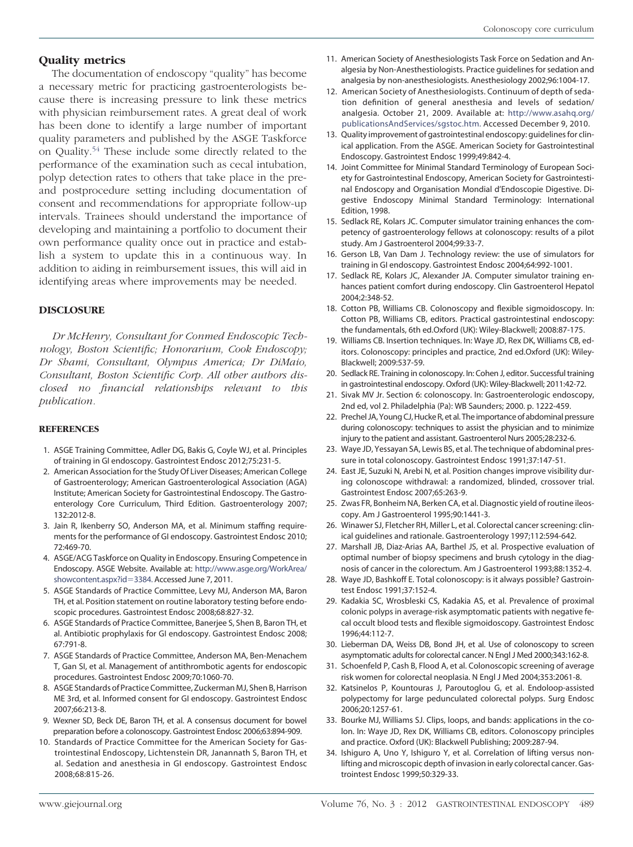### **Quality metrics**

The documentation of endoscopy "quality" has become a necessary metric for practicing gastroenterologists because there is increasing pressure to link these metrics with physician reimbursement rates. A great deal of work has been done to identify a large number of important quality parameters and published by the ASGE Taskforce on Quality[.54](#page-8-12) These include some directly related to the performance of the examination such as cecal intubation, polyp detection rates to others that take place in the preand postprocedure setting including documentation of consent and recommendations for appropriate follow-up intervals. Trainees should understand the importance of developing and maintaining a portfolio to document their own performance quality once out in practice and establish a system to update this in a continuous way. In addition to aiding in reimbursement issues, this will aid in identifying areas where improvements may be needed.

#### **DISCLOSURE**

*Dr McHenry, Consultant for Conmed Endoscopic Technology, Boston Scientific; Honorarium, Cook Endoscopy; Dr Shami, Consultant, Olympus America; Dr DiMaio, Consultant, Boston Scientific Corp. All other authors disclosed no financial relationships relevant to this publication.*

#### <span id="page-7-0"></span>**REFERENCES**

- 1. ASGE Training Committee, Adler DG, Bakis G, Coyle WJ, et al. Principles of training in GI endoscopy. Gastrointest Endosc 2012;75:231-5.
- 2. American Association for the Study Of Liver Diseases; American College of Gastroenterology; American Gastroenterological Association (AGA) Institute; American Society for Gastrointestinal Endoscopy. The Gastroenterology Core Curriculum, Third Edition. Gastroenterology 2007; 132:2012-8.
- <span id="page-7-1"></span>3. Jain R, Ikenberry SO, Anderson MA, et al. Minimum staffing requirements for the performance of GI endoscopy. Gastrointest Endosc 2010; 72:469-70.
- <span id="page-7-2"></span>4. ASGE/ACG Taskforce on Quality in Endoscopy. Ensuring Competence in Endoscopy. ASGE Website. Available at: [http://www.asge.org/WorkArea/](http://www.asge.org/WorkArea/showcontent.aspx?id=3384) [showcontent.aspx?id](http://www.asge.org/WorkArea/showcontent.aspx?id=3384)-3384. Accessed June 7, 2011.
- <span id="page-7-3"></span>5. ASGE Standards of Practice Committee, Levy MJ, Anderson MA, Baron TH, et al. Position statement on routine laboratory testing before endoscopic procedures. Gastrointest Endosc 2008;68:827-32.
- <span id="page-7-4"></span>6. ASGE Standards of Practice Committee, Banerjee S, Shen B, Baron TH, et al. Antibiotic prophylaxis for GI endoscopy. Gastrointest Endosc 2008; 67:791-8.
- 7. ASGE Standards of Practice Committee, Anderson MA, Ben-Menachem T, Gan SI, et al. Management of antithrombotic agents for endoscopic procedures. Gastrointest Endosc 2009;70:1060-70.
- 8. ASGE Standards of Practice Committee, Zuckerman MJ, Shen B, Harrison ME 3rd, et al. Informed consent for GI endoscopy. Gastrointest Endosc 2007;66:213-8.
- <span id="page-7-6"></span><span id="page-7-5"></span>9. Wexner SD, Beck DE, Baron TH, et al. A consensus document for bowel preparation before a colonoscopy. Gastrointest Endosc 2006;63:894-909.
- 10. Standards of Practice Committee for the American Society for Gastrointestinal Endoscopy, Lichtenstein DR, Janannath S, Baron TH, et al. Sedation and anesthesia in GI endoscopy. Gastrointest Endosc 2008;68:815-26.
- 11. American Society of Anesthesiologists Task Force on Sedation and Analgesia by Non-Anesthestiologists. Practice guidelines for sedation and analgesia by non-anesthesiologists. Anesthesiology 2002;96:1004-17.
- 12. American Society of Anesthesiologists. Continuum of depth of sedation definition of general anesthesia and levels of sedation/ analgesia. October 21, 2009. Available at: [http://www.asahq.org/](http://www.asahq.org/publicationsAndServices/sgstoc.htm) [publicationsAndServices/sgstoc.htm.](http://www.asahq.org/publicationsAndServices/sgstoc.htm) Accessed December 9, 2010.
- <span id="page-7-7"></span>13. Quality improvement of gastrointestinal endoscopy: guidelines for clinical application. From the ASGE. American Society for Gastrointestinal Endoscopy. Gastrointest Endosc 1999;49:842-4.
- <span id="page-7-8"></span>14. Joint Committee for Minimal Standard Terminology of European Society for Gastrointestinal Endoscopy, American Society for Gastrointestinal Endoscopy and Organisation Mondial d'Endoscopie Digestive. Digestive Endoscopy Minimal Standard Terminology: International Edition, 1998.
- <span id="page-7-9"></span>15. Sedlack RE, Kolars JC. Computer simulator training enhances the competency of gastroenterology fellows at colonoscopy: results of a pilot study. Am J Gastroenterol 2004;99:33-7.
- 16. Gerson LB, Van Dam J. Technology review: the use of simulators for training in GI endoscopy. Gastrointest Endosc 2004;64:992-1001.
- 17. Sedlack RE, Kolars JC, Alexander JA. Computer simulator training enhances patient comfort during endoscopy. Clin Gastroenterol Hepatol 2004;2:348-52.
- <span id="page-7-10"></span>18. Cotton PB, Williams CB. Colonoscopy and flexible sigmoidoscopy. In: Cotton PB, Williams CB, editors. Practical gastrointestinal endoscopy: the fundamentals, 6th ed.Oxford (UK): Wiley-Blackwell; 2008:87-175.
- 19. Williams CB. Insertion techniques. In: Waye JD, Rex DK, Williams CB, editors. Colonoscopy: principles and practice, 2nd ed.Oxford (UK): Wiley-Blackwell; 2009:537-59.
- 20. Sedlack RE. Training in colonoscopy. In: Cohen J, editor. Successful training in gastrointestinal endoscopy. Oxford (UK): Wiley-Blackwell; 2011:42-72.
- <span id="page-7-11"></span>21. Sivak MV Jr. Section 6: colonoscopy. In: Gastroenterologic endoscopy, 2nd ed, vol 2. Philadelphia (Pa): WB Saunders; 2000. p. 1222-459.
- 22. Prechel JA, Young CJ, Hucke R, et al. The importance of abdominal pressure during colonoscopy: techniques to assist the physician and to minimize injury to the patient and assistant. Gastroenterol Nurs 2005;28:232-6.
- <span id="page-7-12"></span>23. Waye JD, Yessayan SA, Lewis BS, et al. The technique of abdominal pressure in total colonoscopy. Gastrointest Endosc 1991;37:147-51.
- 24. East JE, Suzuki N, Arebi N, et al. Position changes improve visibility during colonoscope withdrawal: a randomized, blinded, crossover trial. Gastrointest Endosc 2007;65:263-9.
- <span id="page-7-14"></span><span id="page-7-13"></span>25. Zwas FR, Bonheim NA, Berken CA, et al. Diagnostic yield of routine ileoscopy. Am J Gastroenterol 1995;90:1441-3.
- <span id="page-7-15"></span>26. Winawer SJ, Fletcher RH, Miller L, et al. Colorectal cancer screening: clinical guidelines and rationale. Gastroenterology 1997;112:594-642.
- 27. Marshall JB, Diaz-Arias AA, Barthel JS, et al. Prospective evaluation of optimal number of biopsy specimens and brush cytology in the diagnosis of cancer in the colorectum. Am J Gastroenterol 1993;88:1352-4.
- <span id="page-7-16"></span>28. Waye JD, Bashkoff E. Total colonoscopy: is it always possible? Gastrointest Endosc 1991;37:152-4.
- 29. Kadakia SC, Wrosbleski CS, Kadakia AS, et al. Prevalence of proximal colonic polyps in average-risk asymptomatic patients with negative fecal occult blood tests and flexible sigmoidoscopy. Gastrointest Endosc 1996;44:112-7.
- 30. Lieberman DA, Weiss DB, Bond JH, et al. Use of colonoscopy to screen asymptomatic adults for colorectal cancer. N Engl J Med 2000;343:162-8.
- <span id="page-7-17"></span>31. Schoenfeld P, Cash B, Flood A, et al. Colonoscopic screening of average risk women for colorectal neoplasia. N Engl J Med 2004;353:2061-8.
- 32. Katsinelos P, Kountouras J, Paroutoglou G, et al. Endoloop-assisted polypectomy for large pedunculated colorectal polyps. Surg Endosc 2006;20:1257-61.
- <span id="page-7-18"></span>33. Bourke MJ, Williams SJ. Clips, loops, and bands: applications in the colon. In: Waye JD, Rex DK, Williams CB, editors. Colonoscopy principles and practice. Oxford (UK): Blackwell Publishing; 2009:287-94.
- 34. Ishiguro A, Uno Y, Ishiguro Y, et al. Correlation of lifting versus nonlifting and microscopic depth of invasion in early colorectal cancer. Gastrointest Endosc 1999;50:329-33.